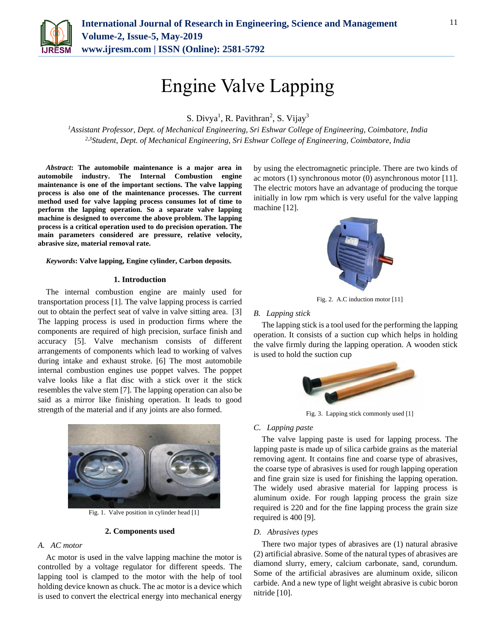

# Engine Valve Lapping

S. Divya<sup>1</sup>, R. Pavithran<sup>2</sup>, S. Vijay<sup>3</sup>

*<sup>1</sup>Assistant Professor, Dept. of Mechanical Engineering, Sri Eshwar College of Engineering, Coimbatore, India 2,3Student, Dept. of Mechanical Engineering, Sri Eshwar College of Engineering, Coimbatore, India*

*Abstract***: The automobile maintenance is a major area in automobile industry. The Internal Combustion engine maintenance is one of the important sections. The valve lapping process is also one of the maintenance processes. The current method used for valve lapping process consumes lot of time to perform the lapping operation. So a separate valve lapping machine is designed to overcome the above problem. The lapping process is a critical operation used to do precision operation. The main parameters considered are pressure, relative velocity, abrasive size, material removal rate.** 

*Keywords***: Valve lapping, Engine cylinder, Carbon deposits.**

## **1. Introduction**

The internal combustion engine are mainly used for transportation process [1]. The valve lapping process is carried out to obtain the perfect seat of valve in valve sitting area. [3] The lapping process is used in production firms where the components are required of high precision, surface finish and accuracy [5]. Valve mechanism consists of different arrangements of components which lead to working of valves during intake and exhaust stroke. [6] The most automobile internal combustion engines use poppet valves. The poppet valve looks like a flat disc with a stick over it the stick resembles the valve stem [7]. The lapping operation can also be said as a mirror like finishing operation. It leads to good strength of the material and if any joints are also formed.



Fig. 1. Valve position in cylinder head [1]

## **2. Components used**

## *A. AC motor*

Ac motor is used in the valve lapping machine the motor is controlled by a voltage regulator for different speeds. The lapping tool is clamped to the motor with the help of tool holding device known as chuck. The ac motor is a device which is used to convert the electrical energy into mechanical energy

by using the electromagnetic principle. There are two kinds of ac motors (1) synchronous motor (0) asynchronous motor [11]. The electric motors have an advantage of producing the torque initially in low rpm which is very useful for the valve lapping machine [12].



Fig. 2. A.C induction motor [11]

## *B. Lapping stick*

The lapping stick is a tool used for the performing the lapping operation. It consists of a suction cup which helps in holding the valve firmly during the lapping operation. A wooden stick is used to hold the suction cup



Fig. 3. Lapping stick commonly used [1]

## *C. Lapping paste*

The valve lapping paste is used for lapping process. The lapping paste is made up of silica carbide grains as the material removing agent. It contains fine and coarse type of abrasives, the coarse type of abrasives is used for rough lapping operation and fine grain size is used for finishing the lapping operation. The widely used abrasive material for lapping process is aluminum oxide. For rough lapping process the grain size required is 220 and for the fine lapping process the grain size required is 400 [9].

#### *D. Abrasives types*

There two major types of abrasives are (1) natural abrasive (2) artificial abrasive. Some of the natural types of abrasives are diamond slurry, emery, calcium carbonate, sand, corundum. Some of the artificial abrasives are aluminum oxide, silicon carbide. And a new type of light weight abrasive is cubic boron nitride [10].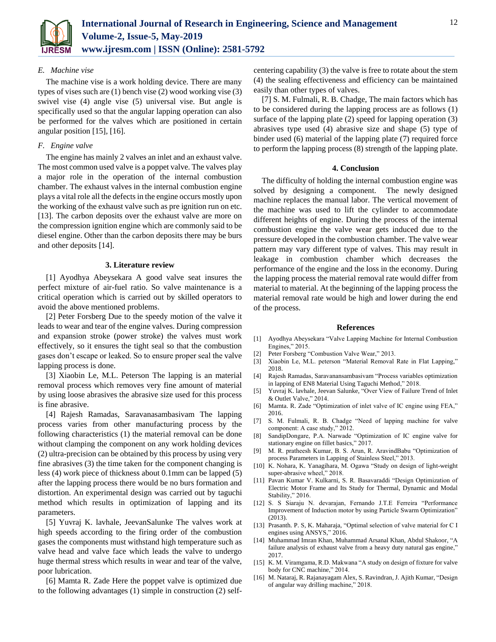

## *E. Machine vise*

The machine vise is a work holding device. There are many types of vises such are (1) bench vise (2) wood working vise (3) swivel vise (4) angle vise (5) universal vise. But angle is specifically used so that the angular lapping operation can also be performed for the valves which are positioned in certain angular position [15], [16].

## *F. Engine valve*

The engine has mainly 2 valves an inlet and an exhaust valve. The most common used valve is a poppet valve. The valves play a major role in the operation of the internal combustion chamber. The exhaust valves in the internal combustion engine plays a vital role all the defects in the engine occurs mostly upon the working of the exhaust valve such as pre ignition run on etc. [13]. The carbon deposits over the exhaust valve are more on the compression ignition engine which are commonly said to be diesel engine. Other than the carbon deposits there may be burs and other deposits [14].

### **3. Literature review**

[1] Ayodhya Abeysekara A good valve seat insures the perfect mixture of air-fuel ratio. So valve maintenance is a critical operation which is carried out by skilled operators to avoid the above mentioned problems.

[2] Peter Forsberg Due to the speedy motion of the valve it leads to wear and tear of the engine valves. During compression and expansion stroke (power stroke) the valves must work effectively, so it ensures the tight seal so that the combustion gases don't escape or leaked. So to ensure proper seal the valve lapping process is done.

[3] Xiaobin Le, M.L. Peterson The lapping is an material removal process which removes very fine amount of material by using loose abrasives the abrasive size used for this process is fine abrasive.

[4] Rajesh Ramadas, Saravanasambasivam The lapping process varies from other manufacturing process by the following characteristics (1) the material removal can be done without clamping the component on any work holding devices (2) ultra-precision can be obtained by this process by using very fine abrasives (3) the time taken for the component changing is less (4) work piece of thickness about 0.1mm can be lapped (5) after the lapping process there would be no burs formation and distortion. An experimental design was carried out by taguchi method which results in optimization of lapping and its parameters.

[5] Yuvraj K. lavhale, JeevanSalunke The valves work at high speeds according to the firing order of the combustion gases the components must withstand high temperature such as valve head and valve face which leads the valve to undergo huge thermal stress which results in wear and tear of the valve, poor lubrication.

[6] Mamta R. Zade Here the poppet valve is optimized due to the following advantages (1) simple in construction (2) selfcentering capability (3) the valve is free to rotate about the stem (4) the sealing effectiveness and efficiency can be maintained easily than other types of valves.

[7] S. M. Fulmali, R. B. Chadge, The main factors which has to be considered during the lapping process are as follows (1) surface of the lapping plate (2) speed for lapping operation (3) abrasives type used (4) abrasive size and shape (5) type of binder used (6) material of the lapping plate (7) required force to perform the lapping process (8) strength of the lapping plate.

## **4. Conclusion**

The difficulty of holding the internal combustion engine was solved by designing a component. The newly designed machine replaces the manual labor. The vertical movement of the machine was used to lift the cylinder to accommodate different heights of engine. During the process of the internal combustion engine the valve wear gets induced due to the pressure developed in the combustion chamber. The valve wear pattern may vary different type of valves. This may result in leakage in combustion chamber which decreases the performance of the engine and the loss in the economy. During the lapping process the material removal rate would differ from material to material. At the beginning of the lapping process the material removal rate would be high and lower during the end of the process.

#### **References**

- [1] Ayodhya Abeysekara "Valve Lapping Machine for Internal Combustion Engines," 2015.
- [2] Peter Forsberg "Combustion Valve Wear," 2013.
- [3] Xiaobin Le, M.L. peterson "Material Removal Rate in Flat Lapping," 2018.
- [4] Rajesh Ramadas, Saravanansambasivam "Process variables optimization in lapping of EN8 Material Using Taguchi Method," 2018.
- [5] Yuvraj K. lavhale, Jeevan Salunke, "Over View of Failure Trend of Inlet & Outlet Valve," 2014.
- [6] Mamta. R. Zade "Optimization of inlet valve of IC engine using FEA," 2016.
- [7] S. M. Fulmali, R. B. Chadge "Need of lapping machine for valve component: A case study," 2012.
- [8] SandipDongare, P.A. Narwade "Optimization of IC engine valve for stationary engine on fillet basics," 2017.
- [9] M. R. pratheesh Kumar, B. S. Arun, R. AravindBabu "Optimization of process Parameters in Lapping of Stainless Steel," 2013.
- [10] K. Nohara, K. Yanagihara, M. Ogawa "Study on design of light-weight super-abrasive wheel," 2018.
- [11] Pavan Kumar V. Kulkarni, S. R. Basavaraddi "Design Optimization of Electric Motor Frame and Its Study for Thermal, Dynamic and Modal Stability," 2016.
- [12] S. S Siaraju N. devarajan, Fernando J.T.E Ferreira "Performance Improvement of Induction motor by using Particle Swarm Optimization" (2013).
- [13] Prasanth. P. S, K. Maharaja, "Optimal selection of valve material for C I engines using ANSYS," 2016.
- [14] Muhammad Imran Khan, Muhammad Arsanal Khan, Abdul Shakoor, "A failure analysis of exhaust valve from a heavy duty natural gas engine," 2017.
- [15] K. M. Viramgama, R.D. Makwana "A study on design of fixture for valve body for CNC machine," 2014.
- [16] M. Nataraj, R. Rajanayagam Alex, S. Ravindran, J. Ajith Kumar, "Design of angular way drilling machine," 2018.